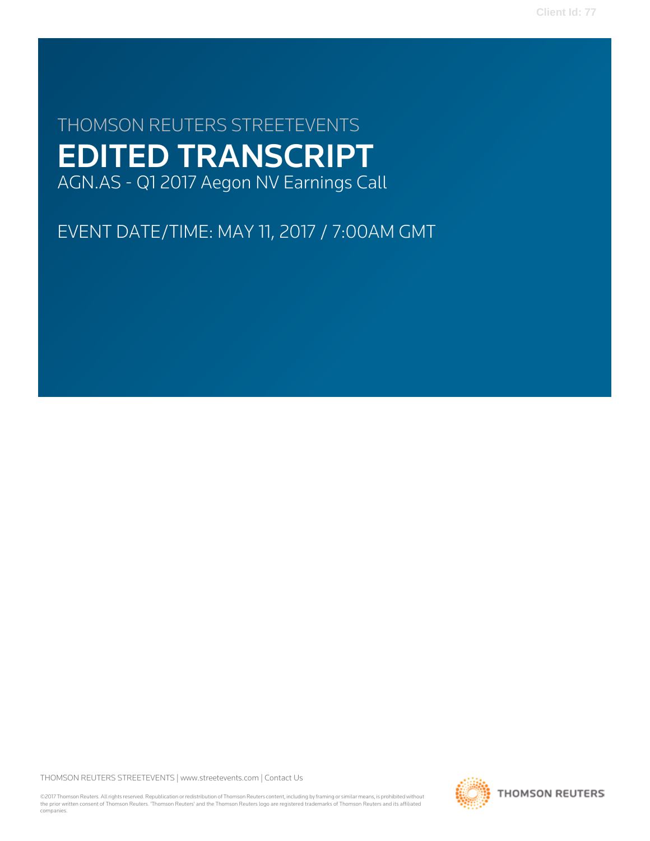**Client Id: 77**

# THOMSON REUTERS STREETEVENTS EDITED TRANSCRIPT AGN.AS - Q1 2017 Aegon NV Earnings Call

EVENT DATE/TIME: MAY 11, 2017 / 7:00AM GMT

THOMSON REUTERS STREETEVENTS | [www.streetevents.com](http://www.streetevents.com) | [Contact Us](http://www010.streetevents.com/contact.asp)

©2017 Thomson Reuters. All rights reserved. Republication or redistribution of Thomson Reuters content, including by framing or similar means, is prohibited without the prior written consent of Thomson Reuters. 'Thomson Reuters' and the Thomson Reuters logo are registered trademarks of Thomson Reuters and its affiliated companies.

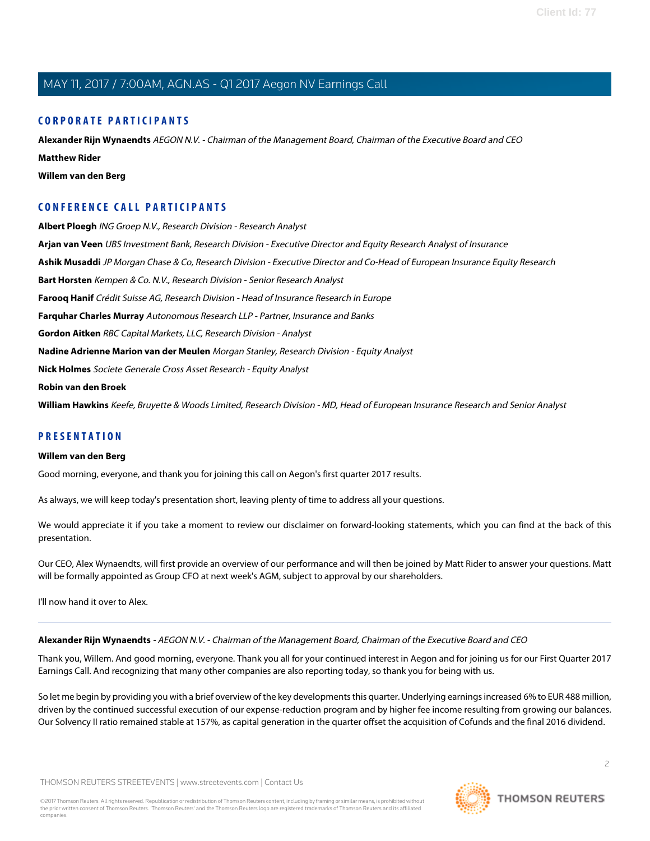# **CORPORATE PARTICIPANTS**

**[Alexander Rijn Wynaendts](#page-1-0)** AEGON N.V. - Chairman of the Management Board, Chairman of the Executive Board and CEO **[Matthew Rider](#page-4-0) [Willem van den Berg](#page-1-1)**

# **CONFERENCE CALL PARTICIPANTS**

**[Albert Ploegh](#page-6-0)** ING Groep N.V., Research Division - Research Analyst **[Arjan van Veen](#page-11-0)** UBS Investment Bank, Research Division - Executive Director and Equity Research Analyst of Insurance **[Ashik Musaddi](#page-5-0)** JP Morgan Chase & Co, Research Division - Executive Director and Co-Head of European Insurance Equity Research **[Bart Horsten](#page-11-1)** Kempen & Co. N.V., Research Division - Senior Research Analyst **[Farooq Hanif](#page-7-0)** Crédit Suisse AG, Research Division - Head of Insurance Research in Europe **[Farquhar Charles Murray](#page-12-0)** Autonomous Research LLP - Partner, Insurance and Banks **[Gordon Aitken](#page-10-0)** RBC Capital Markets, LLC, Research Division - Analyst **[Nadine Adrienne Marion van der Meulen](#page-6-1)** Morgan Stanley, Research Division - Equity Analyst **[Nick Holmes](#page-8-0)** Societe Generale Cross Asset Research - Equity Analyst **[Robin van den Broek](#page-4-1) [William Hawkins](#page-9-0)** Keefe, Bruyette & Woods Limited, Research Division - MD, Head of European Insurance Research and Senior Analyst

## <span id="page-1-1"></span>**PRESENTATION**

#### **Willem van den Berg**

Good morning, everyone, and thank you for joining this call on Aegon's first quarter 2017 results.

As always, we will keep today's presentation short, leaving plenty of time to address all your questions.

We would appreciate it if you take a moment to review our disclaimer on forward-looking statements, which you can find at the back of this presentation.

<span id="page-1-0"></span>Our CEO, Alex Wynaendts, will first provide an overview of our performance and will then be joined by Matt Rider to answer your questions. Matt will be formally appointed as Group CFO at next week's AGM, subject to approval by our shareholders.

I'll now hand it over to Alex.

# **Alexander Rijn Wynaendts** - AEGON N.V. - Chairman of the Management Board, Chairman of the Executive Board and CEO

Thank you, Willem. And good morning, everyone. Thank you all for your continued interest in Aegon and for joining us for our First Quarter 2017 Earnings Call. And recognizing that many other companies are also reporting today, so thank you for being with us.

So let me begin by providing you with a brief overview of the key developments this quarter. Underlying earnings increased 6% to EUR 488 million, driven by the continued successful execution of our expense-reduction program and by higher fee income resulting from growing our balances. Our Solvency II ratio remained stable at 157%, as capital generation in the quarter offset the acquisition of Cofunds and the final 2016 dividend.

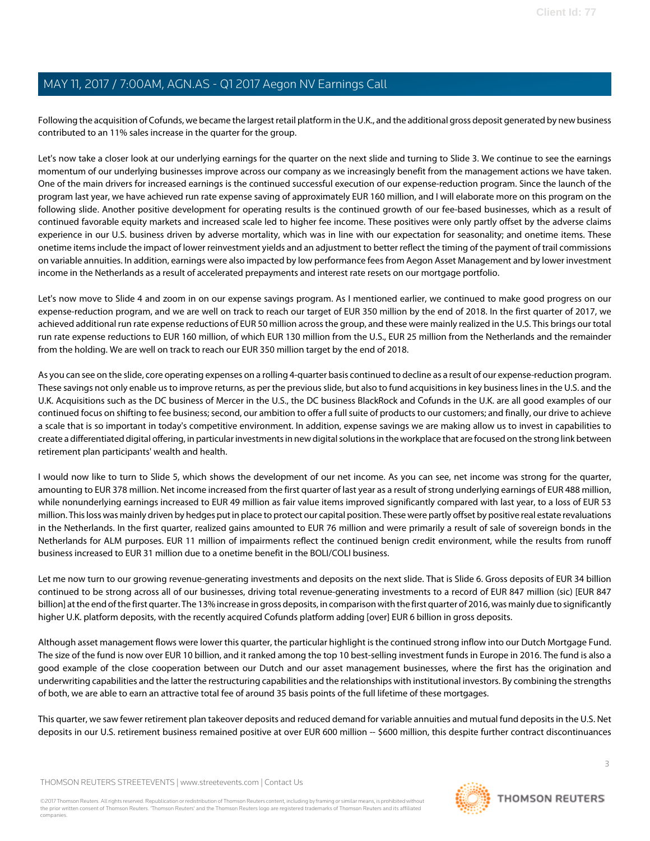Following the acquisition of Cofunds, we became the largest retail platform in the U.K., and the additional gross deposit generated by new business contributed to an 11% sales increase in the quarter for the group.

Let's now take a closer look at our underlying earnings for the quarter on the next slide and turning to Slide 3. We continue to see the earnings momentum of our underlying businesses improve across our company as we increasingly benefit from the management actions we have taken. One of the main drivers for increased earnings is the continued successful execution of our expense-reduction program. Since the launch of the program last year, we have achieved run rate expense saving of approximately EUR 160 million, and I will elaborate more on this program on the following slide. Another positive development for operating results is the continued growth of our fee-based businesses, which as a result of continued favorable equity markets and increased scale led to higher fee income. These positives were only partly offset by the adverse claims experience in our U.S. business driven by adverse mortality, which was in line with our expectation for seasonality; and onetime items. These onetime items include the impact of lower reinvestment yields and an adjustment to better reflect the timing of the payment of trail commissions on variable annuities. In addition, earnings were also impacted by low performance fees from Aegon Asset Management and by lower investment income in the Netherlands as a result of accelerated prepayments and interest rate resets on our mortgage portfolio.

Let's now move to Slide 4 and zoom in on our expense savings program. As I mentioned earlier, we continued to make good progress on our expense-reduction program, and we are well on track to reach our target of EUR 350 million by the end of 2018. In the first quarter of 2017, we achieved additional run rate expense reductions of EUR 50 million across the group, and these were mainly realized in the U.S. This brings our total run rate expense reductions to EUR 160 million, of which EUR 130 million from the U.S., EUR 25 million from the Netherlands and the remainder from the holding. We are well on track to reach our EUR 350 million target by the end of 2018.

As you can see on the slide, core operating expenses on a rolling 4-quarter basis continued to decline as a result of our expense-reduction program. These savings not only enable us to improve returns, as per the previous slide, but also to fund acquisitions in key business lines in the U.S. and the U.K. Acquisitions such as the DC business of Mercer in the U.S., the DC business BlackRock and Cofunds in the U.K. are all good examples of our continued focus on shifting to fee business; second, our ambition to offer a full suite of products to our customers; and finally, our drive to achieve a scale that is so important in today's competitive environment. In addition, expense savings we are making allow us to invest in capabilities to create a differentiated digital offering, in particular investments in new digital solutions in the workplace that are focused on the strong link between retirement plan participants' wealth and health.

I would now like to turn to Slide 5, which shows the development of our net income. As you can see, net income was strong for the quarter, amounting to EUR 378 million. Net income increased from the first quarter of last year as a result of strong underlying earnings of EUR 488 million, while nonunderlying earnings increased to EUR 49 million as fair value items improved significantly compared with last year, to a loss of EUR 53 million. This loss was mainly driven by hedges put in place to protect our capital position. These were partly offset by positive real estate revaluations in the Netherlands. In the first quarter, realized gains amounted to EUR 76 million and were primarily a result of sale of sovereign bonds in the Netherlands for ALM purposes. EUR 11 million of impairments reflect the continued benign credit environment, while the results from runoff business increased to EUR 31 million due to a onetime benefit in the BOLI/COLI business.

Let me now turn to our growing revenue-generating investments and deposits on the next slide. That is Slide 6. Gross deposits of EUR 34 billion continued to be strong across all of our businesses, driving total revenue-generating investments to a record of EUR 847 million (sic) [EUR 847 billion] at the end of the first quarter. The 13% increase in gross deposits, in comparison with the first quarter of 2016, was mainly due to significantly higher U.K. platform deposits, with the recently acquired Cofunds platform adding [over] EUR 6 billion in gross deposits.

Although asset management flows were lower this quarter, the particular highlight is the continued strong inflow into our Dutch Mortgage Fund. The size of the fund is now over EUR 10 billion, and it ranked among the top 10 best-selling investment funds in Europe in 2016. The fund is also a good example of the close cooperation between our Dutch and our asset management businesses, where the first has the origination and underwriting capabilities and the latter the restructuring capabilities and the relationships with institutional investors. By combining the strengths of both, we are able to earn an attractive total fee of around 35 basis points of the full lifetime of these mortgages.

This quarter, we saw fewer retirement plan takeover deposits and reduced demand for variable annuities and mutual fund deposits in the U.S. Net deposits in our U.S. retirement business remained positive at over EUR 600 million -- \$600 million, this despite further contract discontinuances

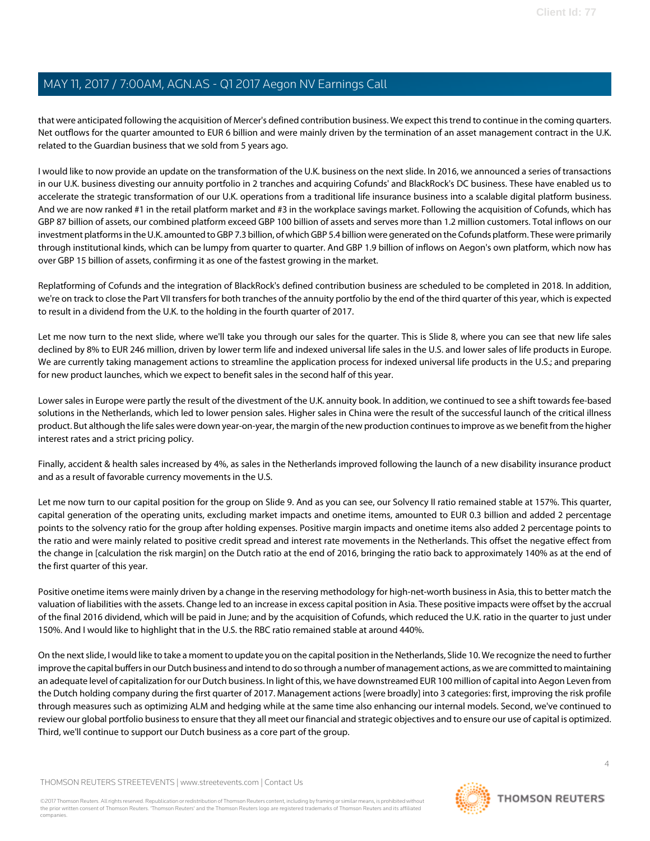that were anticipated following the acquisition of Mercer's defined contribution business. We expect this trend to continue in the coming quarters. Net outflows for the quarter amounted to EUR 6 billion and were mainly driven by the termination of an asset management contract in the U.K. related to the Guardian business that we sold from 5 years ago.

I would like to now provide an update on the transformation of the U.K. business on the next slide. In 2016, we announced a series of transactions in our U.K. business divesting our annuity portfolio in 2 tranches and acquiring Cofunds' and BlackRock's DC business. These have enabled us to accelerate the strategic transformation of our U.K. operations from a traditional life insurance business into a scalable digital platform business. And we are now ranked #1 in the retail platform market and #3 in the workplace savings market. Following the acquisition of Cofunds, which has GBP 87 billion of assets, our combined platform exceed GBP 100 billion of assets and serves more than 1.2 million customers. Total inflows on our investment platforms in the U.K. amounted to GBP 7.3 billion, of which GBP 5.4 billion were generated on the Cofunds platform. These were primarily through institutional kinds, which can be lumpy from quarter to quarter. And GBP 1.9 billion of inflows on Aegon's own platform, which now has over GBP 15 billion of assets, confirming it as one of the fastest growing in the market.

Replatforming of Cofunds and the integration of BlackRock's defined contribution business are scheduled to be completed in 2018. In addition, we're on track to close the Part VII transfers for both tranches of the annuity portfolio by the end of the third quarter of this year, which is expected to result in a dividend from the U.K. to the holding in the fourth quarter of 2017.

Let me now turn to the next slide, where we'll take you through our sales for the quarter. This is Slide 8, where you can see that new life sales declined by 8% to EUR 246 million, driven by lower term life and indexed universal life sales in the U.S. and lower sales of life products in Europe. We are currently taking management actions to streamline the application process for indexed universal life products in the U.S.; and preparing for new product launches, which we expect to benefit sales in the second half of this year.

Lower sales in Europe were partly the result of the divestment of the U.K. annuity book. In addition, we continued to see a shift towards fee-based solutions in the Netherlands, which led to lower pension sales. Higher sales in China were the result of the successful launch of the critical illness product. But although the life sales were down year-on-year, the margin of the new production continues to improve as we benefit from the higher interest rates and a strict pricing policy.

Finally, accident & health sales increased by 4%, as sales in the Netherlands improved following the launch of a new disability insurance product and as a result of favorable currency movements in the U.S.

Let me now turn to our capital position for the group on Slide 9. And as you can see, our Solvency II ratio remained stable at 157%. This quarter, capital generation of the operating units, excluding market impacts and onetime items, amounted to EUR 0.3 billion and added 2 percentage points to the solvency ratio for the group after holding expenses. Positive margin impacts and onetime items also added 2 percentage points to the ratio and were mainly related to positive credit spread and interest rate movements in the Netherlands. This offset the negative effect from the change in [calculation the risk margin] on the Dutch ratio at the end of 2016, bringing the ratio back to approximately 140% as at the end of the first quarter of this year.

Positive onetime items were mainly driven by a change in the reserving methodology for high-net-worth business in Asia, this to better match the valuation of liabilities with the assets. Change led to an increase in excess capital position in Asia. These positive impacts were offset by the accrual of the final 2016 dividend, which will be paid in June; and by the acquisition of Cofunds, which reduced the U.K. ratio in the quarter to just under 150%. And I would like to highlight that in the U.S. the RBC ratio remained stable at around 440%.

On the next slide, I would like to take a moment to update you on the capital position in the Netherlands, Slide 10. We recognize the need to further improve the capital buffers in our Dutch business and intend to do so through a number of management actions, as we are committed to maintaining an adequate level of capitalization for our Dutch business. In light of this, we have downstreamed EUR 100 million of capital into Aegon Leven from the Dutch holding company during the first quarter of 2017. Management actions [were broadly] into 3 categories: first, improving the risk profile through measures such as optimizing ALM and hedging while at the same time also enhancing our internal models. Second, we've continued to review our global portfolio business to ensure that they all meet our financial and strategic objectives and to ensure our use of capital is optimized. Third, we'll continue to support our Dutch business as a core part of the group.

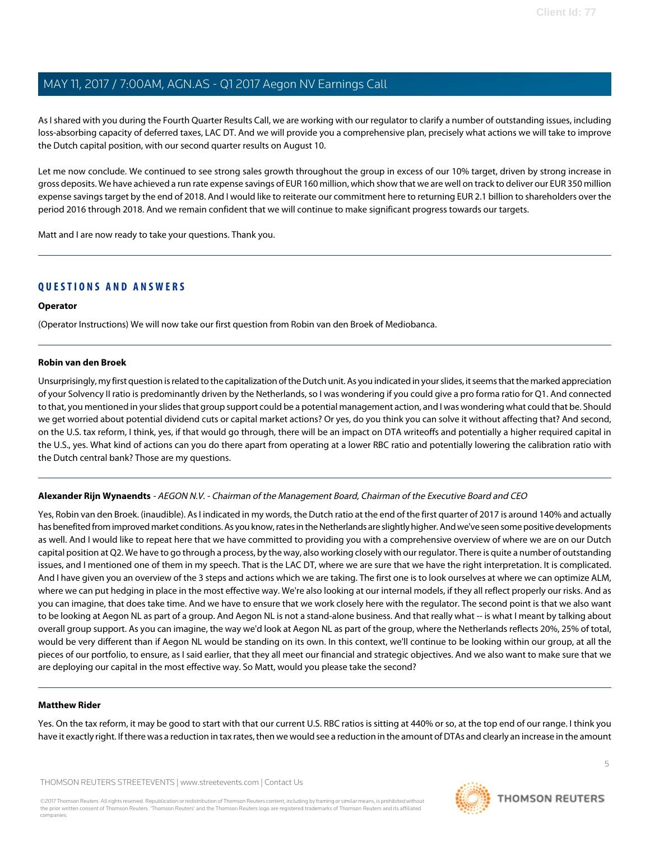As I shared with you during the Fourth Quarter Results Call, we are working with our regulator to clarify a number of outstanding issues, including loss-absorbing capacity of deferred taxes, LAC DT. And we will provide you a comprehensive plan, precisely what actions we will take to improve the Dutch capital position, with our second quarter results on August 10.

Let me now conclude. We continued to see strong sales growth throughout the group in excess of our 10% target, driven by strong increase in gross deposits. We have achieved a run rate expense savings of EUR 160 million, which show that we are well on track to deliver our EUR 350 million expense savings target by the end of 2018. And I would like to reiterate our commitment here to returning EUR 2.1 billion to shareholders over the period 2016 through 2018. And we remain confident that we will continue to make significant progress towards our targets.

Matt and I are now ready to take your questions. Thank you.

# **QUESTIONS AND ANSWERS**

#### **Operator**

<span id="page-4-1"></span>(Operator Instructions) We will now take our first question from Robin van den Broek of Mediobanca.

#### **Robin van den Broek**

Unsurprisingly, my first question is related to the capitalization of the Dutch unit. As you indicated in your slides, it seems that the marked appreciation of your Solvency II ratio is predominantly driven by the Netherlands, so I was wondering if you could give a pro forma ratio for Q1. And connected to that, you mentioned in your slides that group support could be a potential management action, and I was wondering what could that be. Should we get worried about potential dividend cuts or capital market actions? Or yes, do you think you can solve it without affecting that? And second, on the U.S. tax reform, I think, yes, if that would go through, there will be an impact on DTA writeoffs and potentially a higher required capital in the U.S., yes. What kind of actions can you do there apart from operating at a lower RBC ratio and potentially lowering the calibration ratio with the Dutch central bank? Those are my questions.

#### **Alexander Rijn Wynaendts** - AEGON N.V. - Chairman of the Management Board, Chairman of the Executive Board and CEO

Yes, Robin van den Broek. (inaudible). As I indicated in my words, the Dutch ratio at the end of the first quarter of 2017 is around 140% and actually has benefited from improved market conditions. As you know, rates in the Netherlands are slightly higher. And we've seen some positive developments as well. And I would like to repeat here that we have committed to providing you with a comprehensive overview of where we are on our Dutch capital position at Q2. We have to go through a process, by the way, also working closely with our regulator. There is quite a number of outstanding issues, and I mentioned one of them in my speech. That is the LAC DT, where we are sure that we have the right interpretation. It is complicated. And I have given you an overview of the 3 steps and actions which we are taking. The first one is to look ourselves at where we can optimize ALM, where we can put hedging in place in the most effective way. We're also looking at our internal models, if they all reflect properly our risks. And as you can imagine, that does take time. And we have to ensure that we work closely here with the regulator. The second point is that we also want to be looking at Aegon NL as part of a group. And Aegon NL is not a stand-alone business. And that really what -- is what I meant by talking about overall group support. As you can imagine, the way we'd look at Aegon NL as part of the group, where the Netherlands reflects 20%, 25% of total, would be very different than if Aegon NL would be standing on its own. In this context, we'll continue to be looking within our group, at all the pieces of our portfolio, to ensure, as I said earlier, that they all meet our financial and strategic objectives. And we also want to make sure that we are deploying our capital in the most effective way. So Matt, would you please take the second?

#### <span id="page-4-0"></span>**Matthew Rider**

Yes. On the tax reform, it may be good to start with that our current U.S. RBC ratios is sitting at 440% or so, at the top end of our range. I think you have it exactly right. If there was a reduction in tax rates, then we would see a reduction in the amount of DTAs and clearly an increase in the amount

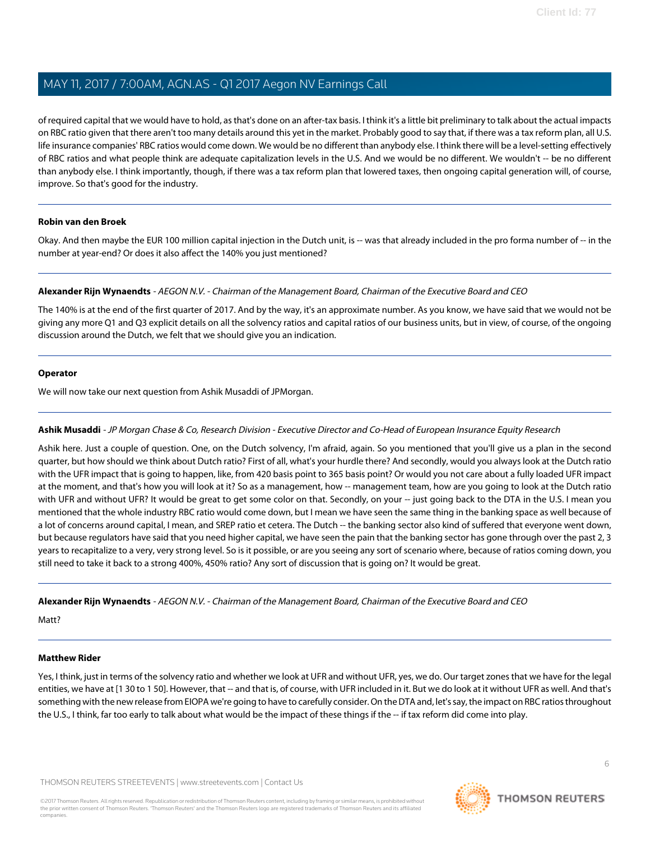of required capital that we would have to hold, as that's done on an after-tax basis. I think it's a little bit preliminary to talk about the actual impacts on RBC ratio given that there aren't too many details around this yet in the market. Probably good to say that, if there was a tax reform plan, all U.S. life insurance companies' RBC ratios would come down. We would be no different than anybody else. I think there will be a level-setting effectively of RBC ratios and what people think are adequate capitalization levels in the U.S. And we would be no different. We wouldn't -- be no different than anybody else. I think importantly, though, if there was a tax reform plan that lowered taxes, then ongoing capital generation will, of course, improve. So that's good for the industry.

#### **Robin van den Broek**

Okay. And then maybe the EUR 100 million capital injection in the Dutch unit, is -- was that already included in the pro forma number of -- in the number at year-end? Or does it also affect the 140% you just mentioned?

#### **Alexander Rijn Wynaendts** - AEGON N.V. - Chairman of the Management Board, Chairman of the Executive Board and CEO

The 140% is at the end of the first quarter of 2017. And by the way, it's an approximate number. As you know, we have said that we would not be giving any more Q1 and Q3 explicit details on all the solvency ratios and capital ratios of our business units, but in view, of course, of the ongoing discussion around the Dutch, we felt that we should give you an indication.

#### **Operator**

<span id="page-5-0"></span>We will now take our next question from Ashik Musaddi of JPMorgan.

#### **Ashik Musaddi** - JP Morgan Chase & Co, Research Division - Executive Director and Co-Head of European Insurance Equity Research

Ashik here. Just a couple of question. One, on the Dutch solvency, I'm afraid, again. So you mentioned that you'll give us a plan in the second quarter, but how should we think about Dutch ratio? First of all, what's your hurdle there? And secondly, would you always look at the Dutch ratio with the UFR impact that is going to happen, like, from 420 basis point to 365 basis point? Or would you not care about a fully loaded UFR impact at the moment, and that's how you will look at it? So as a management, how -- management team, how are you going to look at the Dutch ratio with UFR and without UFR? It would be great to get some color on that. Secondly, on your -- just going back to the DTA in the U.S. I mean you mentioned that the whole industry RBC ratio would come down, but I mean we have seen the same thing in the banking space as well because of a lot of concerns around capital, I mean, and SREP ratio et cetera. The Dutch -- the banking sector also kind of suffered that everyone went down, but because regulators have said that you need higher capital, we have seen the pain that the banking sector has gone through over the past 2, 3 years to recapitalize to a very, very strong level. So is it possible, or are you seeing any sort of scenario where, because of ratios coming down, you still need to take it back to a strong 400%, 450% ratio? Any sort of discussion that is going on? It would be great.

**Alexander Rijn Wynaendts** - AEGON N.V. - Chairman of the Management Board, Chairman of the Executive Board and CEO

Matt?

#### **Matthew Rider**

Yes, I think, just in terms of the solvency ratio and whether we look at UFR and without UFR, yes, we do. Our target zones that we have for the legal entities, we have at [1 30 to 1 50]. However, that -- and that is, of course, with UFR included in it. But we do look at it without UFR as well. And that's something with the new release from EIOPA we're going to have to carefully consider. On the DTA and, let's say, the impact on RBC ratios throughout the U.S., I think, far too early to talk about what would be the impact of these things if the -- if tax reform did come into play.

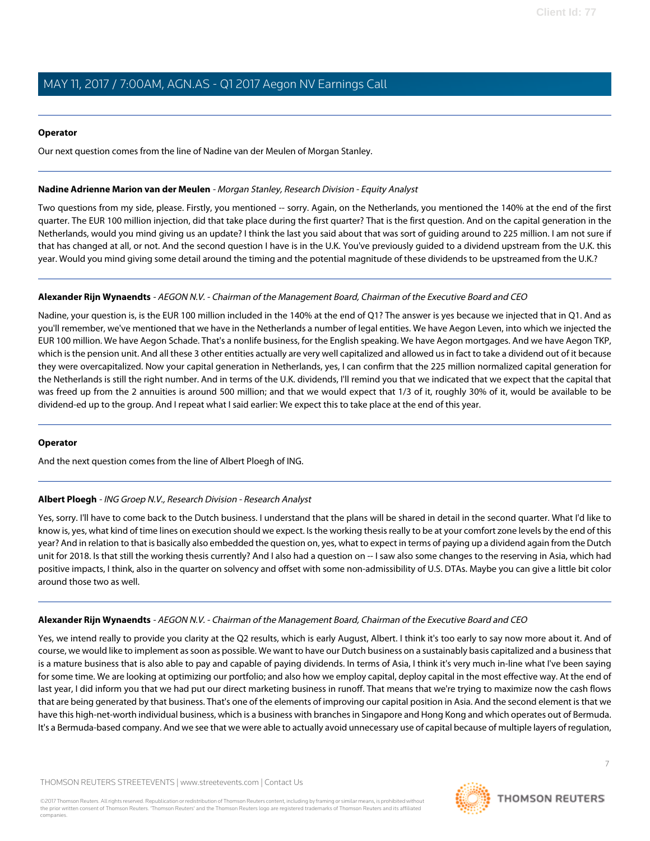#### **Operator**

Our next question comes from the line of Nadine van der Meulen of Morgan Stanley.

#### <span id="page-6-1"></span>**Nadine Adrienne Marion van der Meulen** - Morgan Stanley, Research Division - Equity Analyst

Two questions from my side, please. Firstly, you mentioned -- sorry. Again, on the Netherlands, you mentioned the 140% at the end of the first quarter. The EUR 100 million injection, did that take place during the first quarter? That is the first question. And on the capital generation in the Netherlands, would you mind giving us an update? I think the last you said about that was sort of guiding around to 225 million. I am not sure if that has changed at all, or not. And the second question I have is in the U.K. You've previously guided to a dividend upstream from the U.K. this year. Would you mind giving some detail around the timing and the potential magnitude of these dividends to be upstreamed from the U.K.?

#### **Alexander Rijn Wynaendts** - AEGON N.V. - Chairman of the Management Board, Chairman of the Executive Board and CEO

Nadine, your question is, is the EUR 100 million included in the 140% at the end of Q1? The answer is yes because we injected that in Q1. And as you'll remember, we've mentioned that we have in the Netherlands a number of legal entities. We have Aegon Leven, into which we injected the EUR 100 million. We have Aegon Schade. That's a nonlife business, for the English speaking. We have Aegon mortgages. And we have Aegon TKP, which is the pension unit. And all these 3 other entities actually are very well capitalized and allowed us in fact to take a dividend out of it because they were overcapitalized. Now your capital generation in Netherlands, yes, I can confirm that the 225 million normalized capital generation for the Netherlands is still the right number. And in terms of the U.K. dividends, I'll remind you that we indicated that we expect that the capital that was freed up from the 2 annuities is around 500 million; and that we would expect that 1/3 of it, roughly 30% of it, would be available to be dividend-ed up to the group. And I repeat what I said earlier: We expect this to take place at the end of this year.

#### <span id="page-6-0"></span>**Operator**

And the next question comes from the line of Albert Ploegh of ING.

### **Albert Ploegh** - ING Groep N.V., Research Division - Research Analyst

Yes, sorry. I'll have to come back to the Dutch business. I understand that the plans will be shared in detail in the second quarter. What I'd like to know is, yes, what kind of time lines on execution should we expect. Is the working thesis really to be at your comfort zone levels by the end of this year? And in relation to that is basically also embedded the question on, yes, what to expect in terms of paying up a dividend again from the Dutch unit for 2018. Is that still the working thesis currently? And I also had a question on -- I saw also some changes to the reserving in Asia, which had positive impacts, I think, also in the quarter on solvency and offset with some non-admissibility of U.S. DTAs. Maybe you can give a little bit color around those two as well.

### **Alexander Rijn Wynaendts** - AEGON N.V. - Chairman of the Management Board, Chairman of the Executive Board and CEO

Yes, we intend really to provide you clarity at the Q2 results, which is early August, Albert. I think it's too early to say now more about it. And of course, we would like to implement as soon as possible. We want to have our Dutch business on a sustainably basis capitalized and a business that is a mature business that is also able to pay and capable of paying dividends. In terms of Asia, I think it's very much in-line what I've been saying for some time. We are looking at optimizing our portfolio; and also how we employ capital, deploy capital in the most effective way. At the end of last year, I did inform you that we had put our direct marketing business in runoff. That means that we're trying to maximize now the cash flows that are being generated by that business. That's one of the elements of improving our capital position in Asia. And the second element is that we have this high-net-worth individual business, which is a business with branches in Singapore and Hong Kong and which operates out of Bermuda. It's a Bermuda-based company. And we see that we were able to actually avoid unnecessary use of capital because of multiple layers of regulation,



7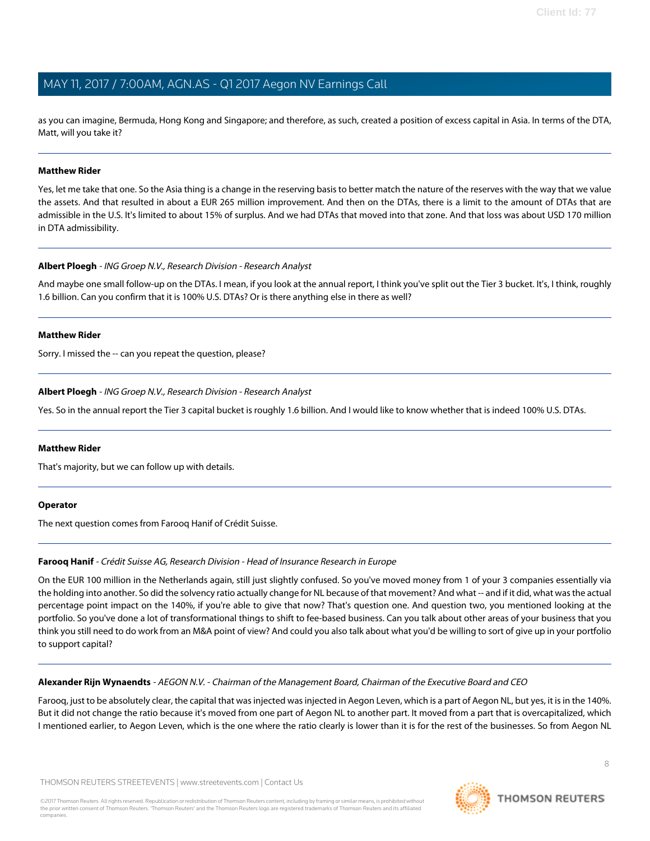as you can imagine, Bermuda, Hong Kong and Singapore; and therefore, as such, created a position of excess capital in Asia. In terms of the DTA, Matt, will you take it?

#### **Matthew Rider**

Yes, let me take that one. So the Asia thing is a change in the reserving basis to better match the nature of the reserves with the way that we value the assets. And that resulted in about a EUR 265 million improvement. And then on the DTAs, there is a limit to the amount of DTAs that are admissible in the U.S. It's limited to about 15% of surplus. And we had DTAs that moved into that zone. And that loss was about USD 170 million in DTA admissibility.

#### **Albert Ploegh** - ING Groep N.V., Research Division - Research Analyst

And maybe one small follow-up on the DTAs. I mean, if you look at the annual report, I think you've split out the Tier 3 bucket. It's, I think, roughly 1.6 billion. Can you confirm that it is 100% U.S. DTAs? Or is there anything else in there as well?

#### **Matthew Rider**

Sorry. I missed the -- can you repeat the question, please?

#### **Albert Ploegh** - ING Groep N.V., Research Division - Research Analyst

Yes. So in the annual report the Tier 3 capital bucket is roughly 1.6 billion. And I would like to know whether that is indeed 100% U.S. DTAs.

#### **Matthew Rider**

That's majority, but we can follow up with details.

#### <span id="page-7-0"></span>**Operator**

The next question comes from Farooq Hanif of Crédit Suisse.

#### **Farooq Hanif** - Crédit Suisse AG, Research Division - Head of Insurance Research in Europe

On the EUR 100 million in the Netherlands again, still just slightly confused. So you've moved money from 1 of your 3 companies essentially via the holding into another. So did the solvency ratio actually change for NL because of that movement? And what -- and if it did, what was the actual percentage point impact on the 140%, if you're able to give that now? That's question one. And question two, you mentioned looking at the portfolio. So you've done a lot of transformational things to shift to fee-based business. Can you talk about other areas of your business that you think you still need to do work from an M&A point of view? And could you also talk about what you'd be willing to sort of give up in your portfolio to support capital?

#### **Alexander Rijn Wynaendts** - AEGON N.V. - Chairman of the Management Board, Chairman of the Executive Board and CEO

Farooq, just to be absolutely clear, the capital that was injected was injected in Aegon Leven, which is a part of Aegon NL, but yes, it is in the 140%. But it did not change the ratio because it's moved from one part of Aegon NL to another part. It moved from a part that is overcapitalized, which I mentioned earlier, to Aegon Leven, which is the one where the ratio clearly is lower than it is for the rest of the businesses. So from Aegon NL

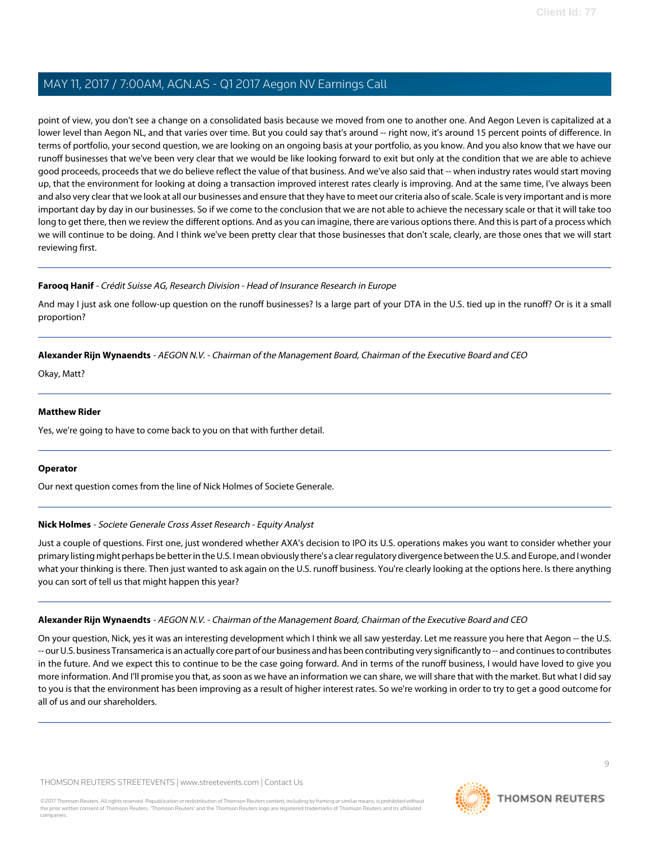point of view, you don't see a change on a consolidated basis because we moved from one to another one. And Aegon Leven is capitalized at a lower level than Aegon NL, and that varies over time. But you could say that's around -- right now, it's around 15 percent points of difference. In terms of portfolio, your second question, we are looking on an ongoing basis at your portfolio, as you know. And you also know that we have our runoff businesses that we've been very clear that we would be like looking forward to exit but only at the condition that we are able to achieve good proceeds, proceeds that we do believe reflect the value of that business. And we've also said that -- when industry rates would start moving up, that the environment for looking at doing a transaction improved interest rates clearly is improving. And at the same time, I've always been and also very clear that we look at all our businesses and ensure that they have to meet our criteria also of scale. Scale is very important and is more important day by day in our businesses. So if we come to the conclusion that we are not able to achieve the necessary scale or that it will take too long to get there, then we review the different options. And as you can imagine, there are various options there. And this is part of a process which we will continue to be doing. And I think we've been pretty clear that those businesses that don't scale, clearly, are those ones that we will start reviewing first.

#### **Farooq Hanif** - Crédit Suisse AG, Research Division - Head of Insurance Research in Europe

And may I just ask one follow-up question on the runoff businesses? Is a large part of your DTA in the U.S. tied up in the runoff? Or is it a small proportion?

#### **Alexander Rijn Wynaendts** - AEGON N.V. - Chairman of the Management Board, Chairman of the Executive Board and CEO

Okay, Matt?

#### **Matthew Rider**

Yes, we're going to have to come back to you on that with further detail.

#### <span id="page-8-0"></span>**Operator**

Our next question comes from the line of Nick Holmes of Societe Generale.

#### **Nick Holmes** - Societe Generale Cross Asset Research - Equity Analyst

Just a couple of questions. First one, just wondered whether AXA's decision to IPO its U.S. operations makes you want to consider whether your primary listing might perhaps be better in the U.S. I mean obviously there's a clear regulatory divergence between the U.S. and Europe, and I wonder what your thinking is there. Then just wanted to ask again on the U.S. runoff business. You're clearly looking at the options here. Is there anything you can sort of tell us that might happen this year?

### **Alexander Rijn Wynaendts** - AEGON N.V. - Chairman of the Management Board, Chairman of the Executive Board and CEO

On your question, Nick, yes it was an interesting development which I think we all saw yesterday. Let me reassure you here that Aegon -- the U.S. -- our U.S. business Transamerica is an actually core part of our business and has been contributing very significantly to -- and continues to contributes in the future. And we expect this to continue to be the case going forward. And in terms of the runoff business, I would have loved to give you more information. And I'll promise you that, as soon as we have an information we can share, we will share that with the market. But what I did say to you is that the environment has been improving as a result of higher interest rates. So we're working in order to try to get a good outcome for all of us and our shareholders.

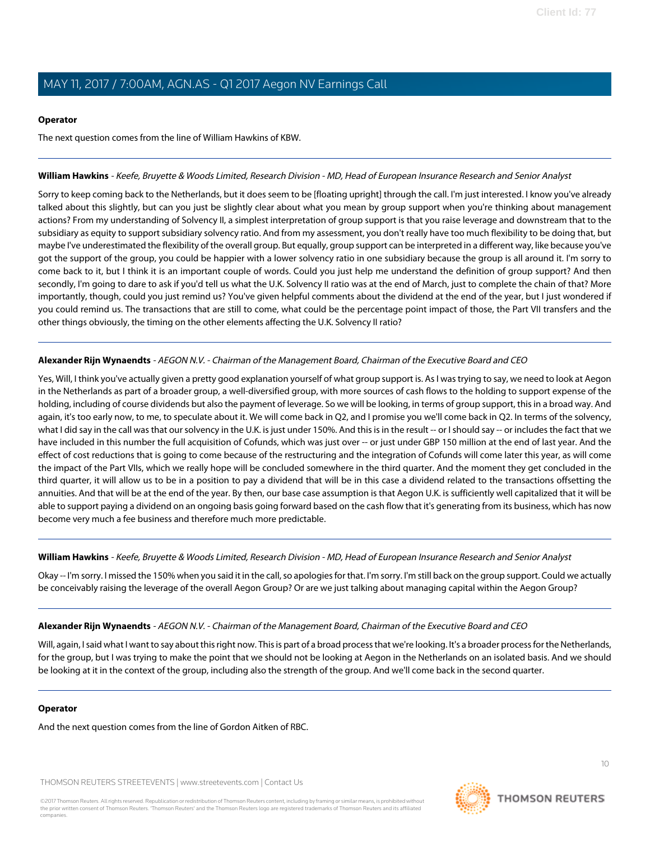#### **Operator**

The next question comes from the line of William Hawkins of KBW.

#### <span id="page-9-0"></span>**William Hawkins** - Keefe, Bruyette & Woods Limited, Research Division - MD, Head of European Insurance Research and Senior Analyst

Sorry to keep coming back to the Netherlands, but it does seem to be [floating upright] through the call. I'm just interested. I know you've already talked about this slightly, but can you just be slightly clear about what you mean by group support when you're thinking about management actions? From my understanding of Solvency II, a simplest interpretation of group support is that you raise leverage and downstream that to the subsidiary as equity to support subsidiary solvency ratio. And from my assessment, you don't really have too much flexibility to be doing that, but maybe I've underestimated the flexibility of the overall group. But equally, group support can be interpreted in a different way, like because you've got the support of the group, you could be happier with a lower solvency ratio in one subsidiary because the group is all around it. I'm sorry to come back to it, but I think it is an important couple of words. Could you just help me understand the definition of group support? And then secondly, I'm going to dare to ask if you'd tell us what the U.K. Solvency II ratio was at the end of March, just to complete the chain of that? More importantly, though, could you just remind us? You've given helpful comments about the dividend at the end of the year, but I just wondered if you could remind us. The transactions that are still to come, what could be the percentage point impact of those, the Part VII transfers and the other things obviously, the timing on the other elements affecting the U.K. Solvency II ratio?

#### **Alexander Rijn Wynaendts** - AEGON N.V. - Chairman of the Management Board, Chairman of the Executive Board and CEO

Yes, Will, I think you've actually given a pretty good explanation yourself of what group support is. As I was trying to say, we need to look at Aegon in the Netherlands as part of a broader group, a well-diversified group, with more sources of cash flows to the holding to support expense of the holding, including of course dividends but also the payment of leverage. So we will be looking, in terms of group support, this in a broad way. And again, it's too early now, to me, to speculate about it. We will come back in Q2, and I promise you we'll come back in Q2. In terms of the solvency, what I did say in the call was that our solvency in the U.K. is just under 150%. And this is in the result -- or I should say -- or includes the fact that we have included in this number the full acquisition of Cofunds, which was just over -- or just under GBP 150 million at the end of last year. And the effect of cost reductions that is going to come because of the restructuring and the integration of Cofunds will come later this year, as will come the impact of the Part VIIs, which we really hope will be concluded somewhere in the third quarter. And the moment they get concluded in the third quarter, it will allow us to be in a position to pay a dividend that will be in this case a dividend related to the transactions offsetting the annuities. And that will be at the end of the year. By then, our base case assumption is that Aegon U.K. is sufficiently well capitalized that it will be able to support paying a dividend on an ongoing basis going forward based on the cash flow that it's generating from its business, which has now become very much a fee business and therefore much more predictable.

#### **William Hawkins** - Keefe, Bruyette & Woods Limited, Research Division - MD, Head of European Insurance Research and Senior Analyst

Okay -- I'm sorry. I missed the 150% when you said it in the call, so apologies for that. I'm sorry. I'm still back on the group support. Could we actually be conceivably raising the leverage of the overall Aegon Group? Or are we just talking about managing capital within the Aegon Group?

#### **Alexander Rijn Wynaendts** - AEGON N.V. - Chairman of the Management Board, Chairman of the Executive Board and CEO

Will, again, I said what I want to say about this right now. This is part of a broad process that we're looking. It's a broader process for the Netherlands, for the group, but I was trying to make the point that we should not be looking at Aegon in the Netherlands on an isolated basis. And we should be looking at it in the context of the group, including also the strength of the group. And we'll come back in the second quarter.

#### **Operator**

And the next question comes from the line of Gordon Aitken of RBC.

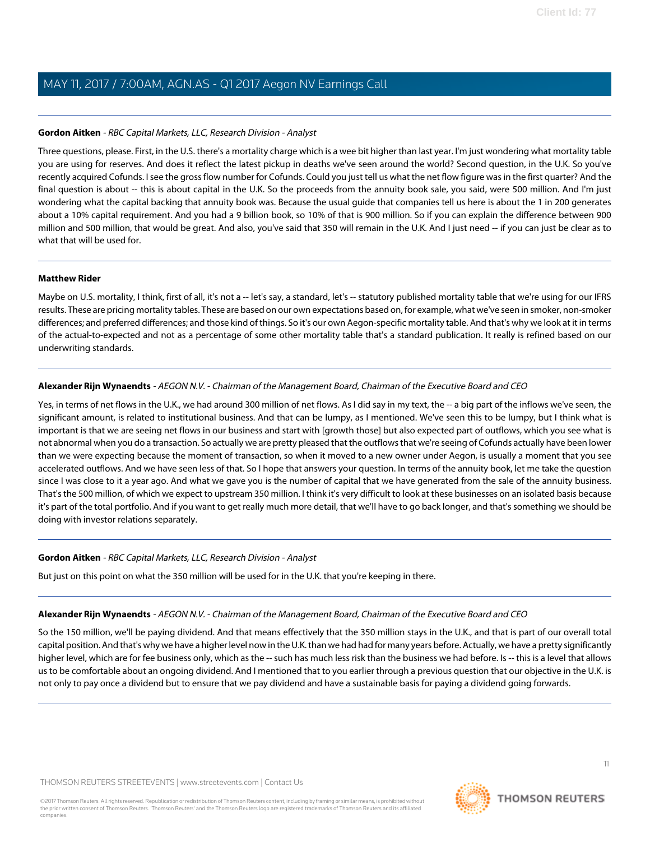#### <span id="page-10-0"></span>**Gordon Aitken** - RBC Capital Markets, LLC, Research Division - Analyst

Three questions, please. First, in the U.S. there's a mortality charge which is a wee bit higher than last year. I'm just wondering what mortality table you are using for reserves. And does it reflect the latest pickup in deaths we've seen around the world? Second question, in the U.K. So you've recently acquired Cofunds. I see the gross flow number for Cofunds. Could you just tell us what the net flow figure was in the first quarter? And the final question is about -- this is about capital in the U.K. So the proceeds from the annuity book sale, you said, were 500 million. And I'm just wondering what the capital backing that annuity book was. Because the usual guide that companies tell us here is about the 1 in 200 generates about a 10% capital requirement. And you had a 9 billion book, so 10% of that is 900 million. So if you can explain the difference between 900 million and 500 million, that would be great. And also, you've said that 350 will remain in the U.K. And I just need -- if you can just be clear as to what that will be used for.

#### **Matthew Rider**

Maybe on U.S. mortality, I think, first of all, it's not a -- let's say, a standard, let's -- statutory published mortality table that we're using for our IFRS results. These are pricing mortality tables. These are based on our own expectations based on, for example, what we've seen in smoker, non-smoker differences; and preferred differences; and those kind of things. So it's our own Aegon-specific mortality table. And that's why we look at it in terms of the actual-to-expected and not as a percentage of some other mortality table that's a standard publication. It really is refined based on our underwriting standards.

#### **Alexander Rijn Wynaendts** - AEGON N.V. - Chairman of the Management Board, Chairman of the Executive Board and CEO

Yes, in terms of net flows in the U.K., we had around 300 million of net flows. As I did say in my text, the -- a big part of the inflows we've seen, the significant amount, is related to institutional business. And that can be lumpy, as I mentioned. We've seen this to be lumpy, but I think what is important is that we are seeing net flows in our business and start with [growth those] but also expected part of outflows, which you see what is not abnormal when you do a transaction. So actually we are pretty pleased that the outflows that we're seeing of Cofunds actually have been lower than we were expecting because the moment of transaction, so when it moved to a new owner under Aegon, is usually a moment that you see accelerated outflows. And we have seen less of that. So I hope that answers your question. In terms of the annuity book, let me take the question since I was close to it a year ago. And what we gave you is the number of capital that we have generated from the sale of the annuity business. That's the 500 million, of which we expect to upstream 350 million. I think it's very difficult to look at these businesses on an isolated basis because it's part of the total portfolio. And if you want to get really much more detail, that we'll have to go back longer, and that's something we should be doing with investor relations separately.

#### **Gordon Aitken** - RBC Capital Markets, LLC, Research Division - Analyst

But just on this point on what the 350 million will be used for in the U.K. that you're keeping in there.

#### **Alexander Rijn Wynaendts** - AEGON N.V. - Chairman of the Management Board, Chairman of the Executive Board and CEO

So the 150 million, we'll be paying dividend. And that means effectively that the 350 million stays in the U.K., and that is part of our overall total capital position. And that's why we have a higher level now in the U.K. than we had had for many years before. Actually, we have a pretty significantly higher level, which are for fee business only, which as the -- such has much less risk than the business we had before. Is -- this is a level that allows us to be comfortable about an ongoing dividend. And I mentioned that to you earlier through a previous question that our objective in the U.K. is not only to pay once a dividend but to ensure that we pay dividend and have a sustainable basis for paying a dividend going forwards.

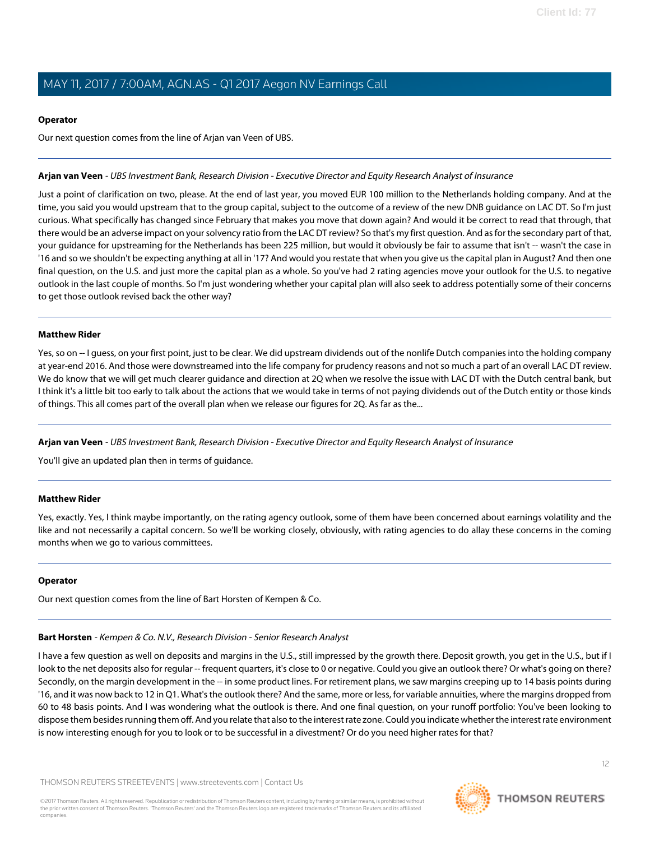#### **Operator**

Our next question comes from the line of Arjan van Veen of UBS.

#### <span id="page-11-0"></span>**Arjan van Veen** - UBS Investment Bank, Research Division - Executive Director and Equity Research Analyst of Insurance

Just a point of clarification on two, please. At the end of last year, you moved EUR 100 million to the Netherlands holding company. And at the time, you said you would upstream that to the group capital, subject to the outcome of a review of the new DNB guidance on LAC DT. So I'm just curious. What specifically has changed since February that makes you move that down again? And would it be correct to read that through, that there would be an adverse impact on your solvency ratio from the LAC DT review? So that's my first question. And as for the secondary part of that, your guidance for upstreaming for the Netherlands has been 225 million, but would it obviously be fair to assume that isn't -- wasn't the case in '16 and so we shouldn't be expecting anything at all in '17? And would you restate that when you give us the capital plan in August? And then one final question, on the U.S. and just more the capital plan as a whole. So you've had 2 rating agencies move your outlook for the U.S. to negative outlook in the last couple of months. So I'm just wondering whether your capital plan will also seek to address potentially some of their concerns to get those outlook revised back the other way?

#### **Matthew Rider**

Yes, so on -- I guess, on your first point, just to be clear. We did upstream dividends out of the nonlife Dutch companies into the holding company at year-end 2016. And those were downstreamed into the life company for prudency reasons and not so much a part of an overall LAC DT review. We do know that we will get much clearer guidance and direction at 2Q when we resolve the issue with LAC DT with the Dutch central bank, but I think it's a little bit too early to talk about the actions that we would take in terms of not paying dividends out of the Dutch entity or those kinds of things. This all comes part of the overall plan when we release our figures for 2Q. As far as the...

**Arjan van Veen** - UBS Investment Bank, Research Division - Executive Director and Equity Research Analyst of Insurance

You'll give an updated plan then in terms of guidance.

#### **Matthew Rider**

Yes, exactly. Yes, I think maybe importantly, on the rating agency outlook, some of them have been concerned about earnings volatility and the like and not necessarily a capital concern. So we'll be working closely, obviously, with rating agencies to do allay these concerns in the coming months when we go to various committees.

### <span id="page-11-1"></span>**Operator**

Our next question comes from the line of Bart Horsten of Kempen & Co.

#### **Bart Horsten** - Kempen & Co. N.V., Research Division - Senior Research Analyst

I have a few question as well on deposits and margins in the U.S., still impressed by the growth there. Deposit growth, you get in the U.S., but if I look to the net deposits also for regular -- frequent quarters, it's close to 0 or negative. Could you give an outlook there? Or what's going on there? Secondly, on the margin development in the -- in some product lines. For retirement plans, we saw margins creeping up to 14 basis points during '16, and it was now back to 12 in Q1. What's the outlook there? And the same, more or less, for variable annuities, where the margins dropped from 60 to 48 basis points. And I was wondering what the outlook is there. And one final question, on your runoff portfolio: You've been looking to dispose them besides running them off. And you relate that also to the interest rate zone. Could you indicate whether the interest rate environment is now interesting enough for you to look or to be successful in a divestment? Or do you need higher rates for that?

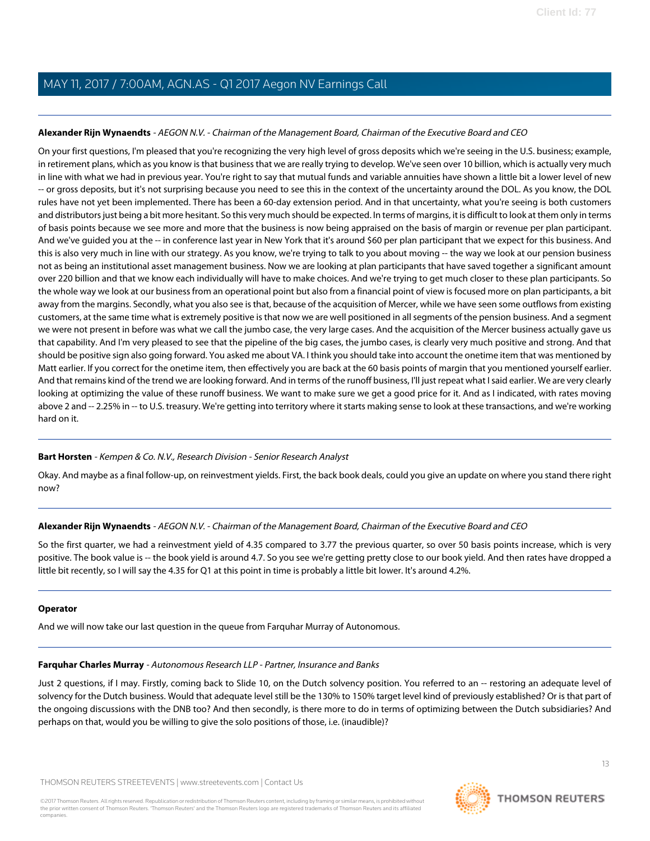#### **Alexander Rijn Wynaendts** - AEGON N.V. - Chairman of the Management Board, Chairman of the Executive Board and CEO

On your first questions, I'm pleased that you're recognizing the very high level of gross deposits which we're seeing in the U.S. business; example, in retirement plans, which as you know is that business that we are really trying to develop. We've seen over 10 billion, which is actually very much in line with what we had in previous year. You're right to say that mutual funds and variable annuities have shown a little bit a lower level of new -- or gross deposits, but it's not surprising because you need to see this in the context of the uncertainty around the DOL. As you know, the DOL rules have not yet been implemented. There has been a 60-day extension period. And in that uncertainty, what you're seeing is both customers and distributors just being a bit more hesitant. So this very much should be expected. In terms of margins, it is difficult to look at them only in terms of basis points because we see more and more that the business is now being appraised on the basis of margin or revenue per plan participant. And we've guided you at the -- in conference last year in New York that it's around \$60 per plan participant that we expect for this business. And this is also very much in line with our strategy. As you know, we're trying to talk to you about moving -- the way we look at our pension business not as being an institutional asset management business. Now we are looking at plan participants that have saved together a significant amount over 220 billion and that we know each individually will have to make choices. And we're trying to get much closer to these plan participants. So the whole way we look at our business from an operational point but also from a financial point of view is focused more on plan participants, a bit away from the margins. Secondly, what you also see is that, because of the acquisition of Mercer, while we have seen some outflows from existing customers, at the same time what is extremely positive is that now we are well positioned in all segments of the pension business. And a segment we were not present in before was what we call the jumbo case, the very large cases. And the acquisition of the Mercer business actually gave us that capability. And I'm very pleased to see that the pipeline of the big cases, the jumbo cases, is clearly very much positive and strong. And that should be positive sign also going forward. You asked me about VA. I think you should take into account the onetime item that was mentioned by Matt earlier. If you correct for the onetime item, then effectively you are back at the 60 basis points of margin that you mentioned yourself earlier. And that remains kind of the trend we are looking forward. And in terms of the runoff business, I'll just repeat what I said earlier. We are very clearly looking at optimizing the value of these runoff business. We want to make sure we get a good price for it. And as I indicated, with rates moving above 2 and -- 2.25% in -- to U.S. treasury. We're getting into territory where it starts making sense to look at these transactions, and we're working hard on it.

#### **Bart Horsten** - Kempen & Co. N.V., Research Division - Senior Research Analyst

Okay. And maybe as a final follow-up, on reinvestment yields. First, the back book deals, could you give an update on where you stand there right now?

#### **Alexander Rijn Wynaendts** - AEGON N.V. - Chairman of the Management Board, Chairman of the Executive Board and CEO

So the first quarter, we had a reinvestment yield of 4.35 compared to 3.77 the previous quarter, so over 50 basis points increase, which is very positive. The book value is -- the book yield is around 4.7. So you see we're getting pretty close to our book yield. And then rates have dropped a little bit recently, so I will say the 4.35 for Q1 at this point in time is probably a little bit lower. It's around 4.2%.

#### <span id="page-12-0"></span>**Operator**

And we will now take our last question in the queue from Farquhar Murray of Autonomous.

#### **Farquhar Charles Murray** - Autonomous Research LLP - Partner, Insurance and Banks

Just 2 questions, if I may. Firstly, coming back to Slide 10, on the Dutch solvency position. You referred to an -- restoring an adequate level of solvency for the Dutch business. Would that adequate level still be the 130% to 150% target level kind of previously established? Or is that part of the ongoing discussions with the DNB too? And then secondly, is there more to do in terms of optimizing between the Dutch subsidiaries? And perhaps on that, would you be willing to give the solo positions of those, i.e. (inaudible)?

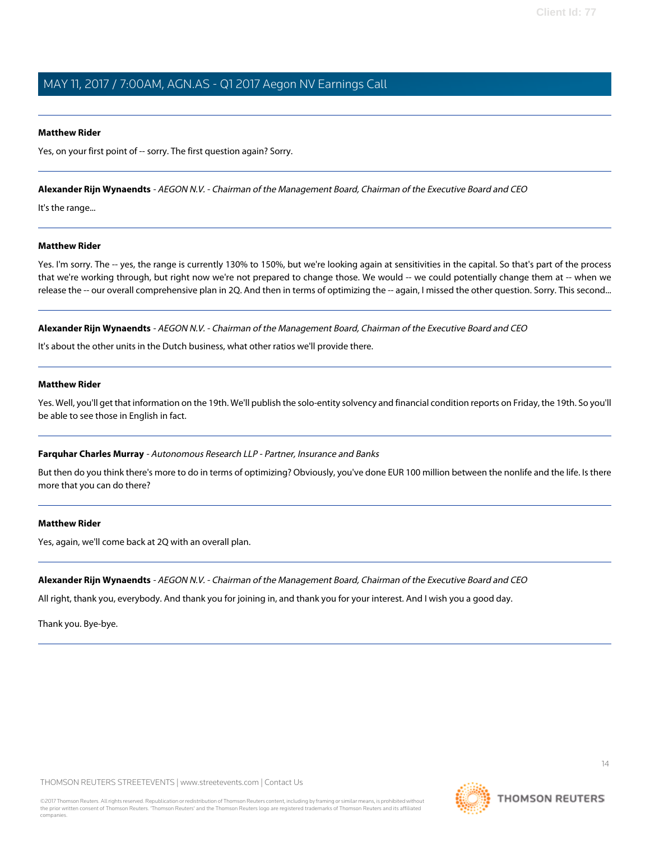#### **Matthew Rider**

Yes, on your first point of -- sorry. The first question again? Sorry.

#### **Alexander Rijn Wynaendts** - AEGON N.V. - Chairman of the Management Board, Chairman of the Executive Board and CEO

It's the range...

#### **Matthew Rider**

Yes. I'm sorry. The -- yes, the range is currently 130% to 150%, but we're looking again at sensitivities in the capital. So that's part of the process that we're working through, but right now we're not prepared to change those. We would -- we could potentially change them at -- when we release the -- our overall comprehensive plan in 2Q. And then in terms of optimizing the -- again, I missed the other question. Sorry. This second...

**Alexander Rijn Wynaendts** - AEGON N.V. - Chairman of the Management Board, Chairman of the Executive Board and CEO

It's about the other units in the Dutch business, what other ratios we'll provide there.

#### **Matthew Rider**

Yes. Well, you'll get that information on the 19th. We'll publish the solo-entity solvency and financial condition reports on Friday, the 19th. So you'll be able to see those in English in fact.

#### **Farquhar Charles Murray** - Autonomous Research LLP - Partner, Insurance and Banks

But then do you think there's more to do in terms of optimizing? Obviously, you've done EUR 100 million between the nonlife and the life. Is there more that you can do there?

#### **Matthew Rider**

Yes, again, we'll come back at 2Q with an overall plan.

#### **Alexander Rijn Wynaendts** - AEGON N.V. - Chairman of the Management Board, Chairman of the Executive Board and CEO

All right, thank you, everybody. And thank you for joining in, and thank you for your interest. And I wish you a good day.

Thank you. Bye-bye.